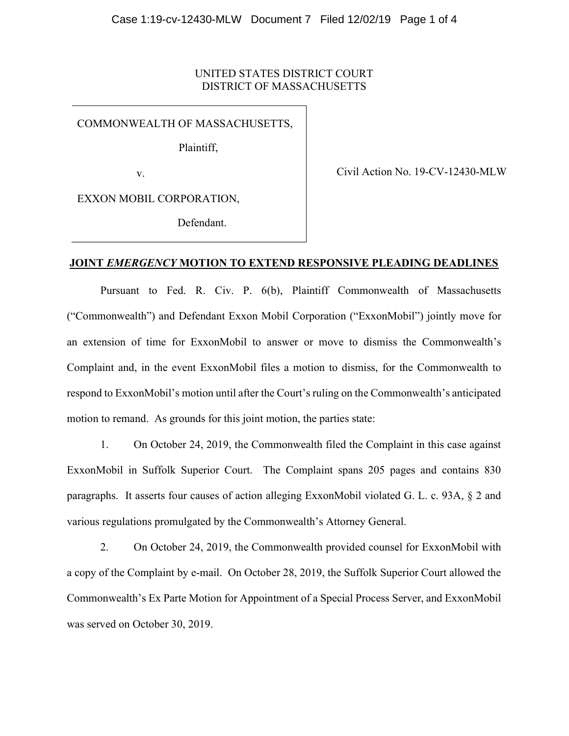#### UNITED STATES DISTRICT COURT DISTRICT OF MASSACHUSETTS

COMMONWEALTH OF MASSACHUSETTS,

Plaintiff,

v.

Civil Action No. 19-CV-12430-MLW

EXXON MOBIL CORPORATION,

Defendant.

# JOINT EMERGENCY MOTION TO EXTEND RESPONSIVE PLEADING DEADLINES

 Pursuant to Fed. R. Civ. P. 6(b), Plaintiff Commonwealth of Massachusetts ("Commonwealth") and Defendant Exxon Mobil Corporation ("ExxonMobil") jointly move for an extension of time for ExxonMobil to answer or move to dismiss the Commonwealth's Complaint and, in the event ExxonMobil files a motion to dismiss, for the Commonwealth to respond to ExxonMobil's motion until after the Court's ruling on the Commonwealth's anticipated motion to remand. As grounds for this joint motion, the parties state:

 1. On October 24, 2019, the Commonwealth filed the Complaint in this case against ExxonMobil in Suffolk Superior Court. The Complaint spans 205 pages and contains 830 paragraphs. It asserts four causes of action alleging ExxonMobil violated G. L. c. 93A, § 2 and various regulations promulgated by the Commonwealth's Attorney General.

 2. On October 24, 2019, the Commonwealth provided counsel for ExxonMobil with a copy of the Complaint by e-mail. On October 28, 2019, the Suffolk Superior Court allowed the Commonwealth's Ex Parte Motion for Appointment of a Special Process Server, and ExxonMobil was served on October 30, 2019.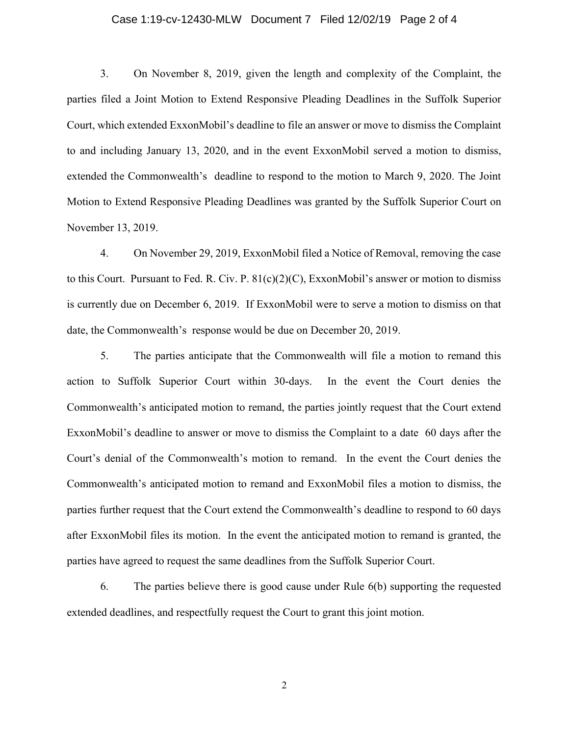#### Case 1:19-cv-12430-MLW Document 7 Filed 12/02/19 Page 2 of 4

 3. On November 8, 2019, given the length and complexity of the Complaint, the parties filed a Joint Motion to Extend Responsive Pleading Deadlines in the Suffolk Superior Court, which extended ExxonMobil's deadline to file an answer or move to dismiss the Complaint to and including January 13, 2020, and in the event ExxonMobil served a motion to dismiss, extended the Commonwealth's deadline to respond to the motion to March 9, 2020. The Joint Motion to Extend Responsive Pleading Deadlines was granted by the Suffolk Superior Court on November 13, 2019.

 4. On November 29, 2019, ExxonMobil filed a Notice of Removal, removing the case to this Court. Pursuant to Fed. R. Civ. P.  $81(c)(2)(C)$ , ExxonMobil's answer or motion to dismiss is currently due on December 6, 2019. If ExxonMobil were to serve a motion to dismiss on that date, the Commonwealth's response would be due on December 20, 2019.

 5. The parties anticipate that the Commonwealth will file a motion to remand this action to Suffolk Superior Court within 30-days. In the event the Court denies the Commonwealth's anticipated motion to remand, the parties jointly request that the Court extend ExxonMobil's deadline to answer or move to dismiss the Complaint to a date 60 days after the Court's denial of the Commonwealth's motion to remand. In the event the Court denies the Commonwealth's anticipated motion to remand and ExxonMobil files a motion to dismiss, the parties further request that the Court extend the Commonwealth's deadline to respond to 60 days after ExxonMobil files its motion. In the event the anticipated motion to remand is granted, the parties have agreed to request the same deadlines from the Suffolk Superior Court.

 6. The parties believe there is good cause under Rule 6(b) supporting the requested extended deadlines, and respectfully request the Court to grant this joint motion.

2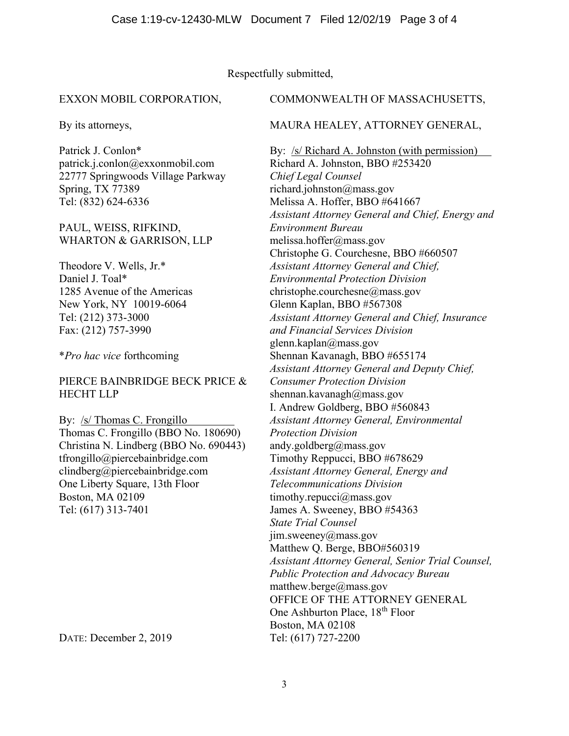# Respectfully submitted,

#### EXXON MOBIL CORPORATION,

By its attorneys,

Patrick J. Conlon\* patrick.j.conlon@exxonmobil.com 22777 Springwoods Village Parkway Spring, TX 77389 Tel: (832) 624-6336

### PAUL, WEISS, RIFKIND, WHARTON & GARRISON, LLP

Theodore V. Wells, Jr.\* Daniel J. Toal\* 1285 Avenue of the Americas New York, NY 10019-6064 Tel: (212) 373-3000 Fax: (212) 757-3990

\*Pro hac vice forthcoming

# PIERCE BAINBRIDGE BECK PRICE & HECHT LLP

By: /s/ Thomas C. Frongillo Thomas C. Frongillo (BBO No. 180690) Christina N. Lindberg (BBO No. 690443) tfrongillo@piercebainbridge.com clindberg@piercebainbridge.com One Liberty Square, 13th Floor Boston, MA 02109 Tel: (617) 313-7401

DATE: December 2, 2019

#### COMMONWEALTH OF MASSACHUSETTS,

#### MAURA HEALEY, ATTORNEY GENERAL,

By: /s/ Richard A. Johnston (with permission) Richard A. Johnston, BBO #253420 Chief Legal Counsel richard.johnston@mass.gov Melissa A. Hoffer, BBO #641667 Assistant Attorney General and Chief, Energy and Environment Bureau melissa.hoffer@mass.gov Christophe G. Courchesne, BBO #660507 Assistant Attorney General and Chief, Environmental Protection Division christophe.courchesne@mass.gov Glenn Kaplan, BBO #567308 Assistant Attorney General and Chief, Insurance and Financial Services Division glenn.kaplan@mass.gov Shennan Kavanagh, BBO #655174 Assistant Attorney General and Deputy Chief, Consumer Protection Division shennan.kavanagh@mass.gov I. Andrew Goldberg, BBO #560843 Assistant Attorney General, Environmental Protection Division andy.goldberg@mass.gov Timothy Reppucci, BBO #678629 Assistant Attorney General, Energy and Telecommunications Division timothy.repucci@mass.gov James A. Sweeney, BBO #54363 State Trial Counsel jim.sweeney@mass.gov Matthew Q. Berge, BBO#560319 Assistant Attorney General, Senior Trial Counsel, Public Protection and Advocacy Bureau matthew.berge@mass.gov OFFICE OF THE ATTORNEY GENERAL One Ashburton Place, 18<sup>th</sup> Floor Boston, MA 02108 Tel: (617) 727-2200